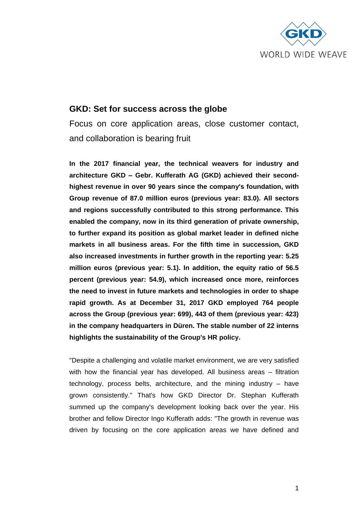

# **GKD: Set for success across the globe**

Focus on core application areas, close customer contact, and collaboration is bearing fruit

**In the 2017 financial year, the technical weavers for industry and architecture GKD – Gebr. Kufferath AG (GKD) achieved their secondhighest revenue in over 90 years since the company's foundation, with Group revenue of 87.0 million euros (previous year: 83.0). All sectors and regions successfully contributed to this strong performance. This enabled the company, now in its third generation of private ownership, to further expand its position as global market leader in defined niche markets in all business areas. For the fifth time in succession, GKD also increased investments in further growth in the reporting year: 5.25 million euros (previous year: 5.1). In addition, the equity ratio of 56.5 percent (previous year: 54.9), which increased once more, reinforces the need to invest in future markets and technologies in order to shape rapid growth. As at December 31, 2017 GKD employed 764 people across the Group (previous year: 699), 443 of them (previous year: 423) in the company headquarters in Düren. The stable number of 22 interns highlights the sustainability of the Group's HR policy.**

"Despite a challenging and volatile market environment, we are very satisfied with how the financial year has developed. All business areas – filtration technology, process belts, architecture, and the mining industry – have grown consistently." That's how GKD Director Dr. Stephan Kufferath summed up the company's development looking back over the year. His brother and fellow Director Ingo Kufferath adds: "The growth in revenue was driven by focusing on the core application areas we have defined and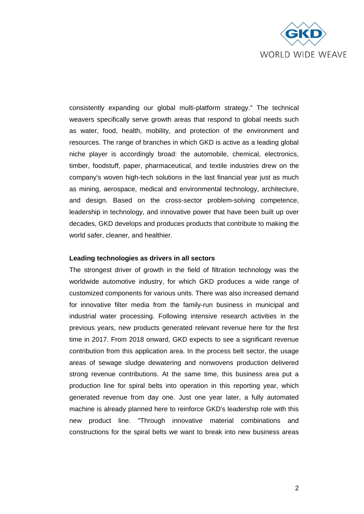

consistently expanding our global multi-platform strategy." The technical weavers specifically serve growth areas that respond to global needs such as water, food, health, mobility, and protection of the environment and resources. The range of branches in which GKD is active as a leading global niche player is accordingly broad: the automobile, chemical, electronics, timber, foodstuff, paper, pharmaceutical, and textile industries drew on the company's woven high-tech solutions in the last financial year just as much as mining, aerospace, medical and environmental technology, architecture, and design. Based on the cross-sector problem-solving competence, leadership in technology, and innovative power that have been built up over decades, GKD develops and produces products that contribute to making the world safer, cleaner, and healthier.

#### **Leading technologies as drivers in all sectors**

The strongest driver of growth in the field of filtration technology was the worldwide automotive industry, for which GKD produces a wide range of customized components for various units. There was also increased demand for innovative filter media from the family-run business in municipal and industrial water processing. Following intensive research activities in the previous years, new products generated relevant revenue here for the first time in 2017. From 2018 onward, GKD expects to see a significant revenue contribution from this application area. In the process belt sector, the usage areas of sewage sludge dewatering and nonwovens production delivered strong revenue contributions. At the same time, this business area put a production line for spiral belts into operation in this reporting year, which generated revenue from day one. Just one year later, a fully automated machine is already planned here to reinforce GKD's leadership role with this new product line. "Through innovative material combinations and constructions for the spiral belts we want to break into new business areas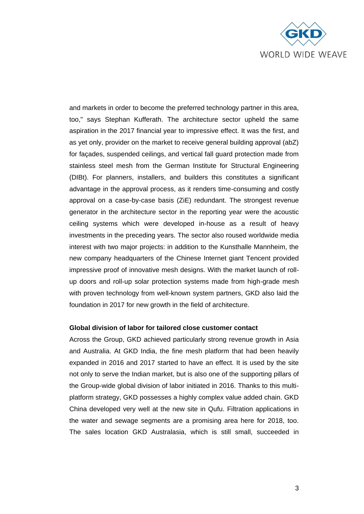

and markets in order to become the preferred technology partner in this area, too," says Stephan Kufferath. The architecture sector upheld the same aspiration in the 2017 financial year to impressive effect. It was the first, and as yet only, provider on the market to receive general building approval (abZ) for façades, suspended ceilings, and vertical fall guard protection made from stainless steel mesh from the German Institute for Structural Engineering (DIBt). For planners, installers, and builders this constitutes a significant advantage in the approval process, as it renders time-consuming and costly approval on a case-by-case basis (ZiE) redundant. The strongest revenue generator in the architecture sector in the reporting year were the acoustic ceiling systems which were developed in-house as a result of heavy investments in the preceding years. The sector also roused worldwide media interest with two major projects: in addition to the Kunsthalle Mannheim, the new company headquarters of the Chinese Internet giant Tencent provided impressive proof of innovative mesh designs. With the market launch of rollup doors and roll-up solar protection systems made from high-grade mesh with proven technology from well-known system partners, GKD also laid the foundation in 2017 for new growth in the field of architecture.

#### **Global division of labor for tailored close customer contact**

Across the Group, GKD achieved particularly strong revenue growth in Asia and Australia. At GKD India, the fine mesh platform that had been heavily expanded in 2016 and 2017 started to have an effect. It is used by the site not only to serve the Indian market, but is also one of the supporting pillars of the Group-wide global division of labor initiated in 2016. Thanks to this multiplatform strategy, GKD possesses a highly complex value added chain. GKD China developed very well at the new site in Qufu. Filtration applications in the water and sewage segments are a promising area here for 2018, too. The sales location GKD Australasia, which is still small, succeeded in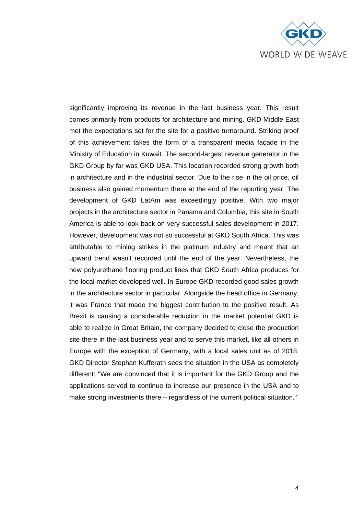

significantly improving its revenue in the last business year. This result comes primarily from products for architecture and mining. GKD Middle East met the expectations set for the site for a positive turnaround. Striking proof of this achievement takes the form of a transparent media façade in the Ministry of Education in Kuwait. The second-largest revenue generator in the GKD Group by far was GKD USA. This location recorded strong growth both in architecture and in the industrial sector. Due to the rise in the oil price, oil business also gained momentum there at the end of the reporting year. The development of GKD LatAm was exceedingly positive. With two major projects in the architecture sector in Panama and Columbia, this site in South America is able to look back on very successful sales development in 2017. However, development was not so successful at GKD South Africa. This was attributable to mining strikes in the platinum industry and meant that an upward trend wasn't recorded until the end of the year. Nevertheless, the new polyurethane flooring product lines that GKD South Africa produces for the local market developed well. In Europe GKD recorded good sales growth in the architecture sector in particular. Alongside the head office in Germany, it was France that made the biggest contribution to the positive result. As Brexit is causing a considerable reduction in the market potential GKD is able to realize in Great Britain, the company decided to close the production site there in the last business year and to serve this market, like all others in Europe with the exception of Germany, with a local sales unit as of 2018. GKD Director Stephan Kufferath sees the situation in the USA as completely different: "We are convinced that it is important for the GKD Group and the applications served to continue to increase our presence in the USA and to make strong investments there – regardless of the current political situation."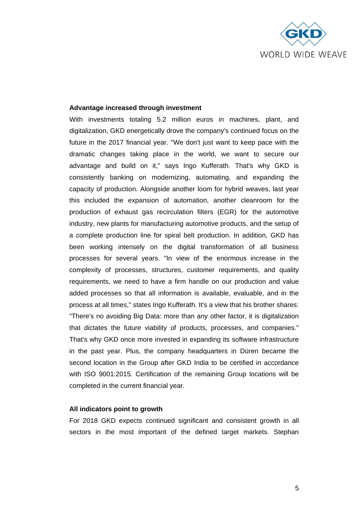

#### **Advantage increased through investment**

With investments totaling 5.2 million euros in machines, plant, and digitalization, GKD energetically drove the company's continued focus on the future in the 2017 financial year. "We don't just want to keep pace with the dramatic changes taking place in the world, we want to secure our advantage and build on it," says Ingo Kufferath. That's why GKD is consistently banking on modernizing, automating, and expanding the capacity of production. Alongside another loom for hybrid weaves, last year this included the expansion of automation, another cleanroom for the production of exhaust gas recirculation filters (EGR) for the automotive industry, new plants for manufacturing automotive products, and the setup of a complete production line for spiral belt production. In addition, GKD has been working intensely on the digital transformation of all business processes for several years. "In view of the enormous increase in the complexity of processes, structures, customer requirements, and quality requirements, we need to have a firm handle on our production and value added processes so that all information is available, evaluable, and in the process at all times," states Ingo Kufferath. It's a view that his brother shares: "There's no avoiding Big Data: more than any other factor, it is digitalization that dictates the future viability of products, processes, and companies." That's why GKD once more invested in expanding its software infrastructure in the past year. Plus, the company headquarters in Düren became the second location in the Group after GKD India to be certified in accordance with ISO 9001:2015. Certification of the remaining Group locations will be completed in the current financial year.

## **All indicators point to growth**

For 2018 GKD expects continued significant and consistent growth in all sectors in the most important of the defined target markets. Stephan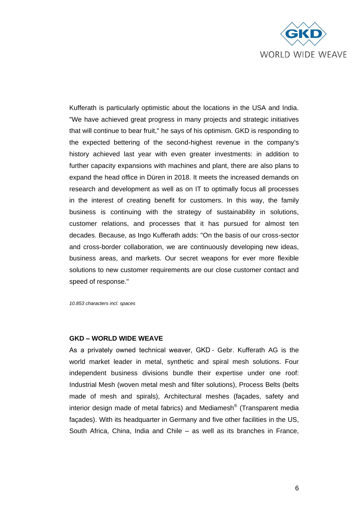

Kufferath is particularly optimistic about the locations in the USA and India. "We have achieved great progress in many projects and strategic initiatives that will continue to bear fruit," he says of his optimism. GKD is responding to the expected bettering of the second-highest revenue in the company's history achieved last year with even greater investments: in addition to further capacity expansions with machines and plant, there are also plans to expand the head office in Düren in 2018. It meets the increased demands on research and development as well as on IT to optimally focus all processes in the interest of creating benefit for customers. In this way, the family business is continuing with the strategy of sustainability in solutions, customer relations, and processes that it has pursued for almost ten decades. Because, as Ingo Kufferath adds: "On the basis of our cross-sector and cross-border collaboration, we are continuously developing new ideas, business areas, and markets. Our secret weapons for ever more flexible solutions to new customer requirements are our close customer contact and speed of response."

*10.853 characters incl. spaces*

### **GKD – WORLD WIDE WEAVE**

As a privately owned technical weaver, GKD - Gebr. Kufferath AG is the world market leader in metal, synthetic and spiral mesh solutions. Four independent business divisions bundle their expertise under one roof: Industrial Mesh (woven metal mesh and filter solutions), Process Belts (belts made of mesh and spirals), Architectural meshes (façades, safety and interior design made of metal fabrics) and Mediamesh® (Transparent media façades). With its headquarter in Germany and five other facilities in the US, South Africa, China, India and Chile – as well as its branches in France,